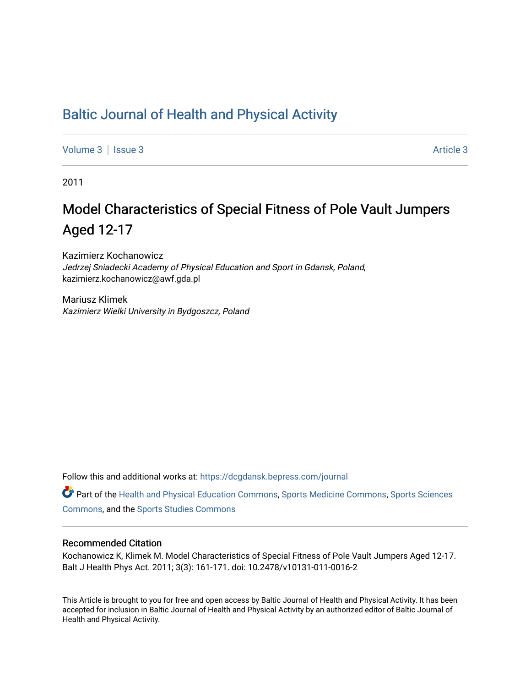## [Baltic Journal of Health and Physical Activity](https://dcgdansk.bepress.com/journal)

[Volume 3](https://dcgdansk.bepress.com/journal/vol3) | [Issue 3](https://dcgdansk.bepress.com/journal/vol3/iss3) Article 3

2011

# Model Characteristics of Special Fitness of Pole Vault Jumpers Aged 12-17

Kazimierz Kochanowicz Jedrzej Sniadecki Academy of Physical Education and Sport in Gdansk, Poland, kazimierz.kochanowicz@awf.gda.pl

Mariusz Klimek Kazimierz Wielki University in Bydgoszcz, Poland

Follow this and additional works at: [https://dcgdansk.bepress.com/journal](https://dcgdansk.bepress.com/journal?utm_source=dcgdansk.bepress.com%2Fjournal%2Fvol3%2Fiss3%2F3&utm_medium=PDF&utm_campaign=PDFCoverPages)

Part of the [Health and Physical Education Commons](http://network.bepress.com/hgg/discipline/1327?utm_source=dcgdansk.bepress.com%2Fjournal%2Fvol3%2Fiss3%2F3&utm_medium=PDF&utm_campaign=PDFCoverPages), [Sports Medicine Commons,](http://network.bepress.com/hgg/discipline/1331?utm_source=dcgdansk.bepress.com%2Fjournal%2Fvol3%2Fiss3%2F3&utm_medium=PDF&utm_campaign=PDFCoverPages) [Sports Sciences](http://network.bepress.com/hgg/discipline/759?utm_source=dcgdansk.bepress.com%2Fjournal%2Fvol3%2Fiss3%2F3&utm_medium=PDF&utm_campaign=PDFCoverPages) [Commons](http://network.bepress.com/hgg/discipline/759?utm_source=dcgdansk.bepress.com%2Fjournal%2Fvol3%2Fiss3%2F3&utm_medium=PDF&utm_campaign=PDFCoverPages), and the [Sports Studies Commons](http://network.bepress.com/hgg/discipline/1198?utm_source=dcgdansk.bepress.com%2Fjournal%2Fvol3%2Fiss3%2F3&utm_medium=PDF&utm_campaign=PDFCoverPages) 

#### Recommended Citation

Kochanowicz K, Klimek M. Model Characteristics of Special Fitness of Pole Vault Jumpers Aged 12-17. Balt J Health Phys Act. 2011; 3(3): 161-171. doi: 10.2478/v10131-011-0016-2

This Article is brought to you for free and open access by Baltic Journal of Health and Physical Activity. It has been accepted for inclusion in Baltic Journal of Health and Physical Activity by an authorized editor of Baltic Journal of Health and Physical Activity.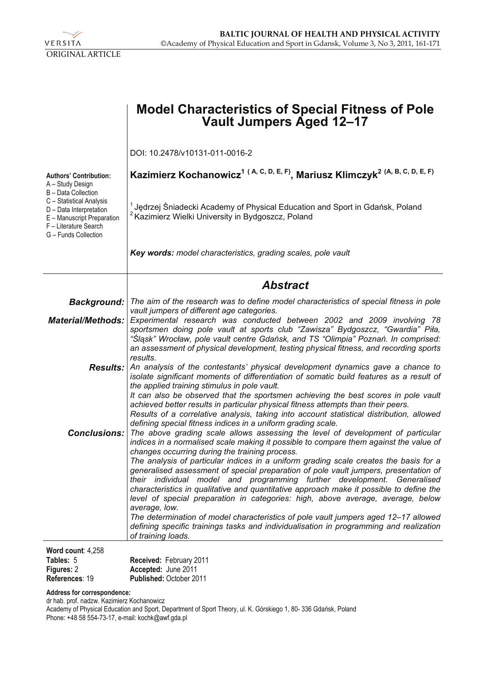

|                                                                                                                                                           | <b>Model Characteristics of Special Fitness of Pole</b><br>Vault Jumpers Aged 12–17                                                                                                                                                                                                                                                                                                                                                                                                                                                                                                                                                                                                                                                                                                                                                                                                                              |
|-----------------------------------------------------------------------------------------------------------------------------------------------------------|------------------------------------------------------------------------------------------------------------------------------------------------------------------------------------------------------------------------------------------------------------------------------------------------------------------------------------------------------------------------------------------------------------------------------------------------------------------------------------------------------------------------------------------------------------------------------------------------------------------------------------------------------------------------------------------------------------------------------------------------------------------------------------------------------------------------------------------------------------------------------------------------------------------|
|                                                                                                                                                           | DOI: 10.2478/v10131-011-0016-2                                                                                                                                                                                                                                                                                                                                                                                                                                                                                                                                                                                                                                                                                                                                                                                                                                                                                   |
| <b>Authors' Contribution:</b><br>A - Study Design                                                                                                         | Kazimierz Kochanowicz <sup>1 (A, C, D, E, F)</sup> , Mariusz Klimczyk <sup>2 (A, B, C, D, E, F)</sup>                                                                                                                                                                                                                                                                                                                                                                                                                                                                                                                                                                                                                                                                                                                                                                                                            |
| B - Data Collection<br>C - Statistical Analysis<br>D - Data Interpretation<br>E - Manuscript Preparation<br>F - Literature Search<br>G - Funds Collection | <sup>1</sup> Jędrzej Śniadecki Academy of Physical Education and Sport in Gdańsk, Poland<br><sup>2</sup> Kazimierz Wielki University in Bydgoszcz, Poland                                                                                                                                                                                                                                                                                                                                                                                                                                                                                                                                                                                                                                                                                                                                                        |
|                                                                                                                                                           | Key words: model characteristics, grading scales, pole vault                                                                                                                                                                                                                                                                                                                                                                                                                                                                                                                                                                                                                                                                                                                                                                                                                                                     |
|                                                                                                                                                           | <b>Abstract</b>                                                                                                                                                                                                                                                                                                                                                                                                                                                                                                                                                                                                                                                                                                                                                                                                                                                                                                  |
|                                                                                                                                                           | Background:   The aim of the research was to define model characteristics of special fitness in pole                                                                                                                                                                                                                                                                                                                                                                                                                                                                                                                                                                                                                                                                                                                                                                                                             |
| <b>Material/Methods:</b>                                                                                                                                  | vault jumpers of different age categories.<br>Experimental research was conducted between 2002 and 2009 involving 78<br>sportsmen doing pole vault at sports club "Zawisza" Bydgoszcz, "Gwardia" Piła,<br>"Śląsk" Wrocław, pole vault centre Gdańsk, and TS "Olimpia" Poznań. In comprised:<br>an assessment of physical development, testing physical fitness, and recording sports<br>results.                                                                                                                                                                                                                                                                                                                                                                                                                                                                                                                 |
|                                                                                                                                                           | <b>Results:</b> An analysis of the contestants' physical development dynamics gave a chance to<br>isolate significant moments of differentiation of somatic build features as a result of<br>the applied training stimulus in pole vault.<br>It can also be observed that the sportsmen achieving the best scores in pole vault<br>achieved better results in particular physical fitness attempts than their peers.<br>Results of a correlative analysis, taking into account statistical distribution, allowed<br>defining special fitness indices in a uniform grading scale.                                                                                                                                                                                                                                                                                                                                 |
|                                                                                                                                                           | <b>Conclusions:</b> The above grading scale allows assessing the level of development of particular<br>indices in a normalised scale making it possible to compare them against the value of<br>changes occurring during the training process.<br>The analysis of particular indices in a uniform grading scale creates the basis for a<br>generalised assessment of special preparation of pole vault jumpers, presentation of<br>their individual model and programming further development. Generalised<br>characteristics in qualitative and quantitative approach make it possible to define the<br>level of special preparation in categories: high, above average, average, below<br>average, low.<br>The determination of model characteristics of pole vault jumpers aged 12-17 allowed<br>defining specific trainings tasks and individualisation in programming and realization<br>of training loads. |
| Word count: 4,258                                                                                                                                         |                                                                                                                                                                                                                                                                                                                                                                                                                                                                                                                                                                                                                                                                                                                                                                                                                                                                                                                  |

| <b>THE SHOW AND INTERNATION</b> |                                |
|---------------------------------|--------------------------------|
| Tables: 5                       | Received: February 2011        |
| <b>Figures: 2</b>               | Accepted: June 2011            |
| References: 19                  | <b>Published: October 2011</b> |

**Address for correspondence:** 

dr hab. prof. nadzw. Kazimierz Kochanowicz Academy of Physical Education and Sport, Department of Sport Theory, ul. K. Górskiego 1, 80- 336 Gdańsk, Poland Phone: +48 58 554-73-17, e-mail: kochk@awf.gda.pl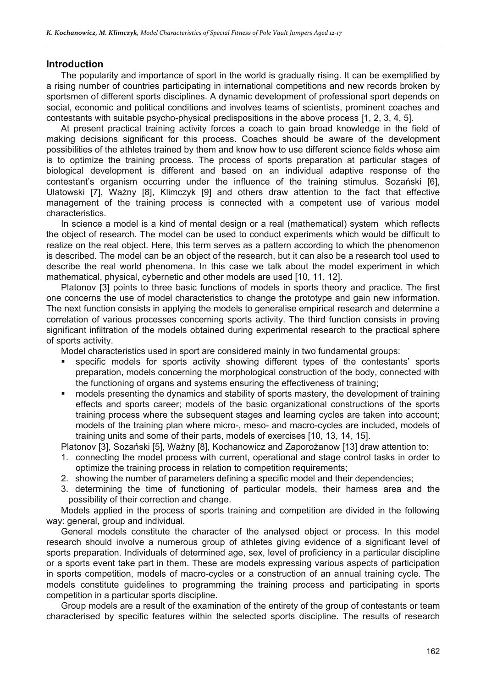#### **Introduction**

The popularity and importance of sport in the world is gradually rising. It can be exemplified by a rising number of countries participating in international competitions and new records broken by sportsmen of different sports disciplines. A dynamic development of professional sport depends on social, economic and political conditions and involves teams of scientists, prominent coaches and contestants with suitable psycho-physical predispositions in the above process [1, 2, 3, 4, 5].

At present practical training activity forces a coach to gain broad knowledge in the field of making decisions significant for this process. Coaches should be aware of the development possibilities of the athletes trained by them and know how to use different science fields whose aim is to optimize the training process. The process of sports preparation at particular stages of biological development is different and based on an individual adaptive response of the contestant's organism occurring under the influence of the training stimulus. Sozański [6], Ulatowski [7], Ważny [8], Klimczyk [9] and others draw attention to the fact that effective management of the training process is connected with a competent use of various model characteristics.

In science a model is a kind of mental design or a real (mathematical) system which reflects the object of research. The model can be used to conduct experiments which would be difficult to realize on the real object. Here, this term serves as a pattern according to which the phenomenon is described. The model can be an object of the research, but it can also be a research tool used to describe the real world phenomena. In this case we talk about the model experiment in which mathematical, physical, cybernetic and other models are used [10, 11, 12].

Platonov [3] points to three basic functions of models in sports theory and practice. The first one concerns the use of model characteristics to change the prototype and gain new information. The next function consists in applying the models to generalise empirical research and determine a correlation of various processes concerning sports activity. The third function consists in proving significant infiltration of the models obtained during experimental research to the practical sphere of sports activity.

Model characteristics used in sport are considered mainly in two fundamental groups:

- specific models for sports activity showing different types of the contestants' sports preparation, models concerning the morphological construction of the body, connected with the functioning of organs and systems ensuring the effectiveness of training;
- models presenting the dynamics and stability of sports mastery, the development of training effects and sports career; models of the basic organizational constructions of the sports training process where the subsequent stages and learning cycles are taken into account; models of the training plan where micro-, meso- and macro-cycles are included, models of training units and some of their parts, models of exercises [10, 13, 14, 15].

Platonov [3], Sozański [5], Ważny [8], Kochanowicz and Zaporożanow [13] draw attention to:

- 1. connecting the model process with current, operational and stage control tasks in order to optimize the training process in relation to competition requirements;
- 2. showing the number of parameters defining a specific model and their dependencies;
- 3. determining the time of functioning of particular models, their harness area and the possibility of their correction and change.

Models applied in the process of sports training and competition are divided in the following way: general, group and individual.

General models constitute the character of the analysed object or process. In this model research should involve a numerous group of athletes giving evidence of a significant level of sports preparation. Individuals of determined age, sex, level of proficiency in a particular discipline or a sports event take part in them. These are models expressing various aspects of participation in sports competition, models of macro-cycles or a construction of an annual training cycle. The models constitute guidelines to programming the training process and participating in sports competition in a particular sports discipline.

Group models are a result of the examination of the entirety of the group of contestants or team characterised by specific features within the selected sports discipline. The results of research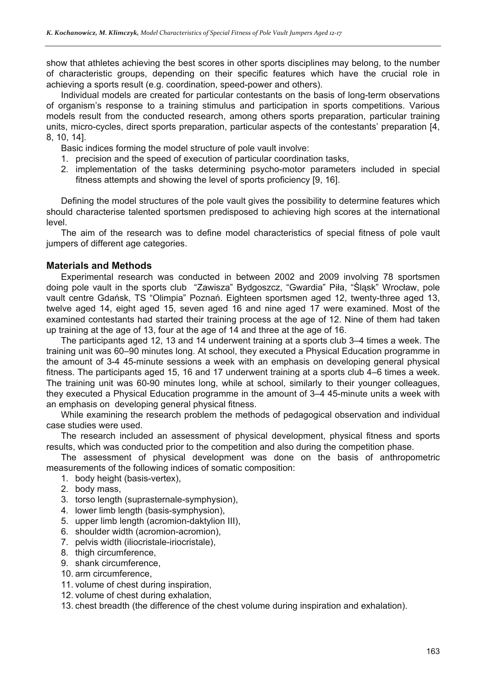show that athletes achieving the best scores in other sports disciplines may belong, to the number of characteristic groups, depending on their specific features which have the crucial role in achieving a sports result (e.g. coordination, speed-power and others).

Individual models are created for particular contestants on the basis of long-term observations of organism's response to a training stimulus and participation in sports competitions. Various models result from the conducted research, among others sports preparation, particular training units, micro-cycles, direct sports preparation, particular aspects of the contestants' preparation [4, 8, 10, 14].

Basic indices forming the model structure of pole vault involve:

- 1. precision and the speed of execution of particular coordination tasks,
- 2. implementation of the tasks determining psycho-motor parameters included in special fitness attempts and showing the level of sports proficiency [9, 16].

Defining the model structures of the pole vault gives the possibility to determine features which should characterise talented sportsmen predisposed to achieving high scores at the international level.

The aim of the research was to define model characteristics of special fitness of pole vault jumpers of different age categories.

#### **Materials and Methods**

Experimental research was conducted in between 2002 and 2009 involving 78 sportsmen doing pole vault in the sports club "Zawisza" Bydgoszcz, "Gwardia" Piła, "Śląsk" Wrocław, pole vault centre Gdańsk, TS "Olimpia" Poznań. Eighteen sportsmen aged 12, twenty-three aged 13, twelve aged 14, eight aged 15, seven aged 16 and nine aged 17 were examined. Most of the examined contestants had started their training process at the age of 12. Nine of them had taken up training at the age of 13, four at the age of 14 and three at the age of 16.

The participants aged 12, 13 and 14 underwent training at a sports club 3–4 times a week. The training unit was 60–90 minutes long. At school, they executed a Physical Education programme in the amount of 3-4 45-minute sessions a week with an emphasis on developing general physical fitness. The participants aged 15, 16 and 17 underwent training at a sports club 4–6 times a week. The training unit was 60-90 minutes long, while at school, similarly to their younger colleagues, they executed a Physical Education programme in the amount of 3–4 45-minute units a week with an emphasis on developing general physical fitness.

While examining the research problem the methods of pedagogical observation and individual case studies were used.

The research included an assessment of physical development, physical fitness and sports results, which was conducted prior to the competition and also during the competition phase.

The assessment of physical development was done on the basis of anthropometric measurements of the following indices of somatic composition:

- 1. body height (basis-vertex),
- 2. body mass,
- 3. torso length (suprasternale-symphysion),
- 4. lower limb length (basis-symphysion),
- 5. upper limb length (acromion-daktylion III),
- 6. shoulder width (acromion-acromion),
- 7. pelvis width (iliocristale-iriocristale),
- 8. thigh circumference,
- 9. shank circumference,
- 10. arm circumference,
- 11. volume of chest during inspiration,
- 12. volume of chest during exhalation,

13. chest breadth (the difference of the chest volume during inspiration and exhalation).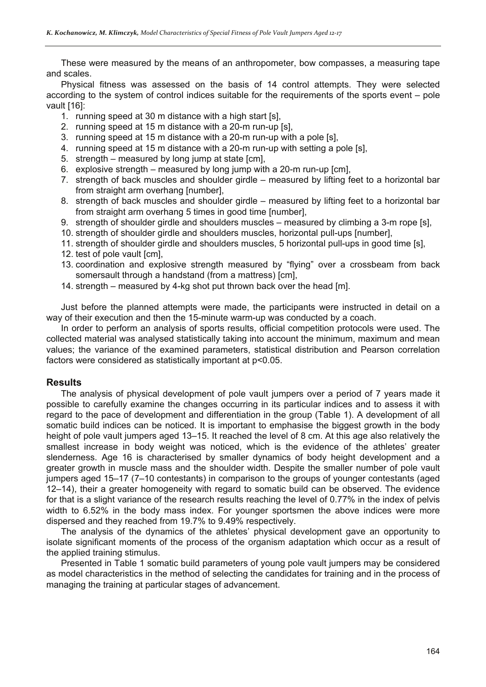These were measured by the means of an anthropometer, bow compasses, a measuring tape and scales.

Physical fitness was assessed on the basis of 14 control attempts. They were selected according to the system of control indices suitable for the requirements of the sports event – pole vault [16]:

- 1. running speed at 30 m distance with a high start [s],
- 2. running speed at 15 m distance with a 20-m run-up [s],
- 3. running speed at 15 m distance with a 20-m run-up with a pole [s],
- 4. running speed at 15 m distance with a 20-m run-up with setting a pole [s],
- 5. strength measured by long jump at state [cm],
- 6. explosive strength measured by long jump with a 20-m run-up [cm],
- 7. strength of back muscles and shoulder girdle measured by lifting feet to a horizontal bar from straight arm overhang [number],
- 8. strength of back muscles and shoulder girdle measured by lifting feet to a horizontal bar from straight arm overhang 5 times in good time [number],
- 9. strength of shoulder girdle and shoulders muscles measured by climbing a 3-m rope [s],
- 10. strength of shoulder girdle and shoulders muscles, horizontal pull-ups [number],
- 11. strength of shoulder girdle and shoulders muscles, 5 horizontal pull-ups in good time [s],
- 12. test of pole vault [cm],
- 13. coordination and explosive strength measured by "flying" over a crossbeam from back somersault through a handstand (from a mattress) [cm],
- 14. strength measured by 4-kg shot put thrown back over the head [m].

Just before the planned attempts were made, the participants were instructed in detail on a way of their execution and then the 15-minute warm-up was conducted by a coach.

In order to perform an analysis of sports results, official competition protocols were used. The collected material was analysed statistically taking into account the minimum, maximum and mean values; the variance of the examined parameters, statistical distribution and Pearson correlation factors were considered as statistically important at p<0.05.

#### **Results**

The analysis of physical development of pole vault jumpers over a period of 7 years made it possible to carefully examine the changes occurring in its particular indices and to assess it with regard to the pace of development and differentiation in the group (Table 1). A development of all somatic build indices can be noticed. It is important to emphasise the biggest growth in the body height of pole vault jumpers aged 13–15. It reached the level of 8 cm. At this age also relatively the smallest increase in body weight was noticed, which is the evidence of the athletes' greater slenderness. Age 16 is characterised by smaller dynamics of body height development and a greater growth in muscle mass and the shoulder width. Despite the smaller number of pole vault jumpers aged 15–17 (7–10 contestants) in comparison to the groups of younger contestants (aged 12–14), their a greater homogeneity with regard to somatic build can be observed. The evidence for that is a slight variance of the research results reaching the level of 0.77% in the index of pelvis width to 6.52% in the body mass index. For younger sportsmen the above indices were more dispersed and they reached from 19.7% to 9.49% respectively.

The analysis of the dynamics of the athletes' physical development gave an opportunity to isolate significant moments of the process of the organism adaptation which occur as a result of the applied training stimulus.

Presented in Table 1 somatic build parameters of young pole vault jumpers may be considered as model characteristics in the method of selecting the candidates for training and in the process of managing the training at particular stages of advancement.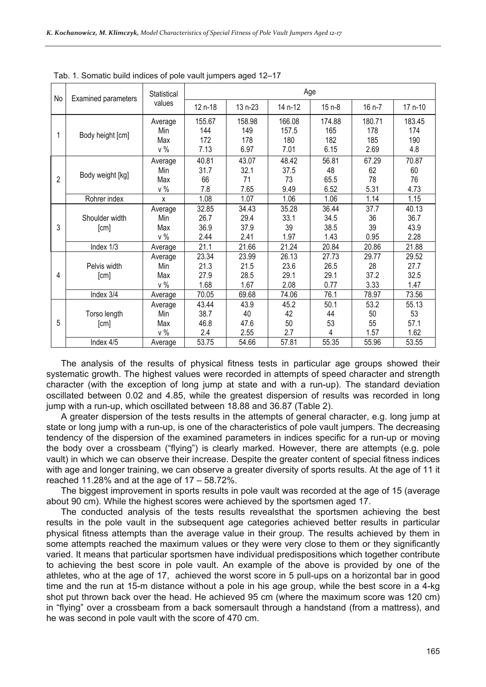| No | Examined parameters    | Statistical                    | Age                           |                               |                                |                               |                              |                               |  |  |
|----|------------------------|--------------------------------|-------------------------------|-------------------------------|--------------------------------|-------------------------------|------------------------------|-------------------------------|--|--|
|    |                        | values                         | 12 n-18                       | 13 n-23                       | 14 n-12                        | $15n-8$                       | 16 n-7                       | 17 n-10                       |  |  |
| 1  | Body height [cm]       | Average<br>Min<br>Max<br>v %   | 155.67<br>144<br>172<br>7.13  | 158.98<br>149<br>178<br>6.97  | 166.08<br>157.5<br>180<br>7.01 | 174.88<br>165<br>182<br>6.15  | 180.71<br>178<br>185<br>2.69 | 183.45<br>174<br>190<br>4.8   |  |  |
| 2  | Body weight [kg]       | Average<br>Min<br>Max<br>$v\%$ | 40.81<br>31.7<br>66<br>7.8    | 43.07<br>32.1<br>71<br>7.65   | 48.42<br>37.5<br>73<br>9.49    | 56.81<br>48<br>65.5<br>6.52   | 67.29<br>62<br>78<br>5.31    | 70.87<br>60<br>76<br>4.73     |  |  |
|    | Rohrer index           | X                              | 1.08                          | 1.07                          | 1.06                           | 1.06                          | 1.14                         | 1.15                          |  |  |
| 3  | Shoulder width<br>[cm] | Average<br>Min<br>Max<br>v %   | 32.85<br>26.7<br>36.9<br>2.44 | 34.43<br>29.4<br>37.9<br>2.41 | 35.28<br>33.1<br>39<br>1.97    | 36.44<br>34.5<br>38.5<br>1.43 | 37.7<br>36<br>39<br>0.95     | 40.13<br>36.7<br>43.9<br>2.28 |  |  |
|    | Index 1/3              | Average                        | 21.1                          | 21.66                         | 21.24                          | 20.84                         | 20.86                        | 21.88                         |  |  |
| 4  | Pelvis width<br>[cm]   | Average<br>Min<br>Max<br>v %   | 23.34<br>21.3<br>27.9<br>1.68 | 23.99<br>21.5<br>28.5<br>1.67 | 26.13<br>23.6<br>29.1<br>2.08  | 27.73<br>26.5<br>29.1<br>0.77 | 29.77<br>28<br>37.2<br>3.33  | 29.52<br>27.7<br>32.5<br>1.47 |  |  |
|    | Index 3/4              | Average                        | 70.05                         | 69.68                         | 74.06                          | 76.1                          | 78.97                        | 73.56                         |  |  |
| 5  | Torso length<br>[cm]   | Average<br>Min<br>Max<br>v %   | 43.44<br>38.7<br>46.8<br>2.4  | 43.9<br>40<br>47.6<br>2.55    | 45.2<br>42<br>50<br>2.7        | 50.1<br>44<br>53<br>4         | 53.2<br>50<br>55<br>1.57     | 55.13<br>53<br>57.1<br>1.62   |  |  |
|    | Index 4/5              | Average                        | 53.75                         | 54.66                         | 57.81                          | 55.35                         | 55.96                        | 53.55                         |  |  |

Tab. 1. Somatic build indices of pole vault jumpers aged 12–17

The analysis of the results of physical fitness tests in particular age groups showed their systematic growth. The highest values were recorded in attempts of speed character and strength character (with the exception of long jump at state and with a run-up). The standard deviation oscillated between 0.02 and 4.85, while the greatest dispersion of results was recorded in long jump with a run-up, which oscillated between 18.88 and 36.87 (Table 2).

A greater dispersion of the tests results in the attempts of general character, e.g. long jump at state or long jump with a run-up, is one of the characteristics of pole vault jumpers. The decreasing tendency of the dispersion of the examined parameters in indices specific for a run-up or moving the body over a crossbeam ("flying") is clearly marked. However, there are attempts (e.g. pole vault) in which we can observe their increase. Despite the greater content of special fitness indices with age and longer training, we can observe a greater diversity of sports results. At the age of 11 it reached 11.28% and at the age of 17 – 58.72%.

The biggest improvement in sports results in pole vault was recorded at the age of 15 (average about 90 cm). While the highest scores were achieved by the sportsmen aged 17.

The conducted analysis of the tests results revealsthat the sportsmen achieving the best results in the pole vault in the subsequent age categories achieved better results in particular physical fitness attempts than the average value in their group. The results achieved by them in some attempts reached the maximum values or they were very close to them or they significantly varied. It means that particular sportsmen have individual predispositions which together contribute to achieving the best score in pole vault. An example of the above is provided by one of the athletes, who at the age of 17, achieved the worst score in 5 pull-ups on a horizontal bar in good time and the run at 15-m distance without a pole in his age group, while the best score in a 4-kg shot put thrown back over the head. He achieved 95 cm (where the maximum score was 120 cm) in "flying" over a crossbeam from a back somersault through a handstand (from a mattress), and he was second in pole vault with the score of 470 cm.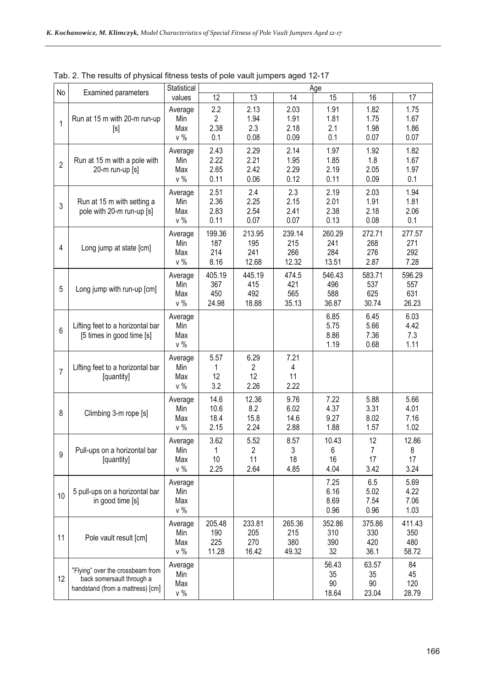| No             | <b>Examined parameters</b>                                                                        | Statistical                    |                                      |                               |                               | Age                           |                                    |                               |
|----------------|---------------------------------------------------------------------------------------------------|--------------------------------|--------------------------------------|-------------------------------|-------------------------------|-------------------------------|------------------------------------|-------------------------------|
|                |                                                                                                   | values                         | 12                                   | 13                            | 14                            | 15                            | 16                                 | 17                            |
| $\mathbf{1}$   | Run at 15 m with 20-m run-up<br>[s]                                                               | Average<br>Min<br>Max<br>$v\%$ | 2.2<br>$\overline{2}$<br>2.38<br>0.1 | 2.13<br>1.94<br>2.3<br>0.08   | 2.03<br>1.91<br>2.18<br>0.09  | 1.91<br>1.81<br>2.1<br>0.1    | 1.82<br>1.75<br>1.98<br>0.07       | 1.75<br>1.67<br>1.86<br>0.07  |
| $\overline{2}$ | Run at 15 m with a pole with<br>20-m run-up [s]                                                   | Average<br>Min<br>Max<br>$v\%$ | 2.43<br>2.22<br>2.65<br>0.11         | 2.29<br>2.21<br>2.42<br>0.06  | 2.14<br>1.95<br>2.29<br>0.12  | 1.97<br>1.85<br>2.19<br>0.11  | 1.92<br>1.8<br>2.05<br>0.09        | 1.82<br>1.67<br>1.97<br>0.1   |
| 3              | Run at 15 m with setting a<br>pole with 20-m run-up [s]                                           | Average<br>Min<br>Max<br>$v\%$ | 2.51<br>2.36<br>2.83<br>0.11         | 2.4<br>2.25<br>2.54<br>0.07   | 2.3<br>2.15<br>2.41<br>0.07   | 2.19<br>2.01<br>2.38<br>0.13  | 2.03<br>1.91<br>2.18<br>0.08       | 1.94<br>1.81<br>2.06<br>0.1   |
| 4              | Long jump at state [cm]                                                                           | Average<br>Min<br>Max<br>$v\%$ | 199.36<br>187<br>214<br>8.16         | 213.95<br>195<br>241<br>12.68 | 239.14<br>215<br>266<br>12.32 | 260.29<br>241<br>284<br>13.51 | 272.71<br>268<br>276<br>2.87       | 277.57<br>271<br>292<br>7.28  |
| 5              | Long jump with run-up [cm]                                                                        | Average<br>Min<br>Max<br>$v\%$ | 405.19<br>367<br>450<br>24.98        | 445.19<br>415<br>492<br>18.88 | 474.5<br>421<br>565<br>35.13  | 546.43<br>496<br>588<br>36.87 | 583.71<br>537<br>625<br>30.74      | 596.29<br>557<br>631<br>26.23 |
| 6              | Lifting feet to a horizontal bar<br>[5] fimes in good time [s]                                    | Average<br>Min<br>Max<br>$v\%$ |                                      |                               |                               | 6.85<br>5.75<br>8.86<br>1.19  | 6.45<br>5.66<br>7.36<br>0.68       | 6.03<br>4.42<br>7.3<br>1.11   |
| $\overline{7}$ | Lifting feet to a horizontal bar<br>[quantity]                                                    | Average<br>Min<br>Max<br>$v\%$ | 5.57<br>1<br>12<br>3.2               | 6.29<br>2<br>12<br>2.26       | 7.21<br>4<br>11<br>2.22       |                               |                                    |                               |
| 8              | Climbing 3-m rope [s]                                                                             | Average<br>Min<br>Max<br>$v\%$ | 14.6<br>10.6<br>18.4<br>2.15         | 12.36<br>8.2<br>15.8<br>2.24  | 9.76<br>6.02<br>14.6<br>2.88  | 7.22<br>4.37<br>9.27<br>1.88  | 5.88<br>3.31<br>8.02<br>1.57       | 5.66<br>4.01<br>7.16<br>1.02  |
| 9              | Pull-ups on a horizontal bar<br>[quantity]                                                        | Average<br>Min<br>Max<br>v %   | 3.62<br>1<br>10<br>2.25              | 5.52<br>2<br>11<br>2.64       | 8.57<br>3<br>18<br>4.85       | 10.43<br>$6\,$<br>16<br>4.04  | 12<br>$\overline{7}$<br>17<br>3.42 | 12.86<br>8<br>17<br>3.24      |
| 10             | 5 pull-ups on a horizontal bar<br>in good time [s]                                                | Average<br>Min<br>Max<br>$v\%$ |                                      |                               |                               | 7.25<br>6.16<br>8.69<br>0.96  | 6.5<br>5.02<br>7.54<br>0.96        | 5.69<br>4.22<br>7.06<br>1.03  |
| 11             | Pole vault result [cm]                                                                            | Average<br>Min<br>Max<br>v %   | 205.48<br>190<br>225<br>11.28        | 233.81<br>205<br>270<br>16.42 | 265.36<br>215<br>380<br>49.32 | 352.86<br>310<br>390<br>32    | 375.86<br>330<br>420<br>36.1       | 411.43<br>350<br>480<br>58.72 |
| 12             | "Flying" over the crossbeam from<br>back somersault through a<br>handstand (from a mattress) [cm] | Average<br>Min<br>Max<br>$v\%$ |                                      |                               |                               | 56.43<br>35<br>90<br>18.64    | 63.57<br>35<br>90<br>23.04         | 84<br>45<br>120<br>28.79      |

Tab. 2. The results of physical fitness tests of pole vault jumpers aged 12-17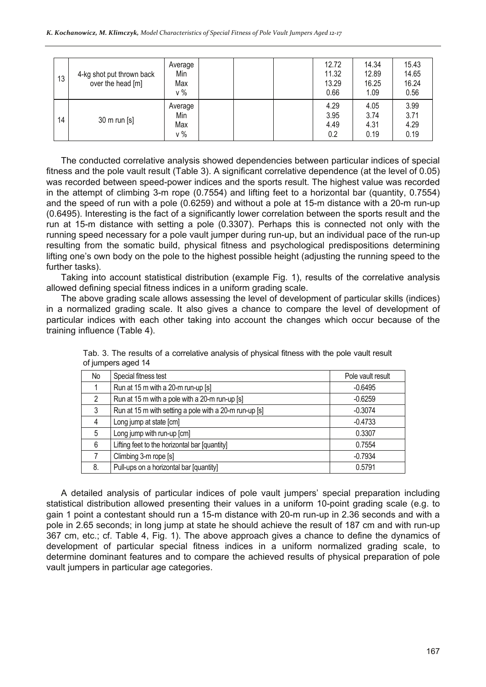| 13 | 4-kg shot put thrown back<br>over the head [m] | Average<br>Min<br>Max<br>$v\%$ | 12.72<br>11.32<br>13.29<br>0.66 | 14.34<br>12.89<br>16.25<br>1.09 | 15.43<br>14.65<br>16.24<br>0.56 |
|----|------------------------------------------------|--------------------------------|---------------------------------|---------------------------------|---------------------------------|
| 14 | 30 m run [s]                                   | Average<br>Min<br>Max<br>$v\%$ | 4.29<br>3.95<br>4.49<br>0.2     | 4.05<br>3.74<br>4.31<br>0.19    | 3.99<br>3.71<br>4.29<br>0.19    |

The conducted correlative analysis showed dependencies between particular indices of special fitness and the pole vault result (Table 3). A significant correlative dependence (at the level of 0.05) was recorded between speed-power indices and the sports result. The highest value was recorded in the attempt of climbing 3-m rope (0.7554) and lifting feet to a horizontal bar (quantity, 0.7554) and the speed of run with a pole (0.6259) and without a pole at 15-m distance with a 20-m run-up (0.6495). Interesting is the fact of a significantly lower correlation between the sports result and the run at 15-m distance with setting a pole (0.3307). Perhaps this is connected not only with the running speed necessary for a pole vault jumper during run-up, but an individual pace of the run-up resulting from the somatic build, physical fitness and psychological predispositions determining lifting one's own body on the pole to the highest possible height (adjusting the running speed to the further tasks).

Taking into account statistical distribution (example Fig. 1), results of the correlative analysis allowed defining special fitness indices in a uniform grading scale.

The above grading scale allows assessing the level of development of particular skills (indices) in a normalized grading scale. It also gives a chance to compare the level of development of particular indices with each other taking into account the changes which occur because of the training influence (Table 4).

| No             | Special fitness test                                   | Pole vault result |
|----------------|--------------------------------------------------------|-------------------|
|                | Run at 15 m with a 20-m run-up [s]                     | $-0.6495$         |
| $\overline{2}$ | Run at 15 m with a pole with a 20-m run-up [s]         | $-0.6259$         |
| 3              | Run at 15 m with setting a pole with a 20-m run-up [s] | $-0.3074$         |
| 4              | Long jump at state [cm]                                | $-0.4733$         |
| 5              | Long jump with run-up [cm]                             | 0.3307            |
| 6              | Lifting feet to the horizontal bar [quantity]          | 0.7554            |
|                | Climbing 3-m rope [s]                                  | $-0.7934$         |
| 8.             | Pull-ups on a horizontal bar [quantity]                | 0.5791            |

Tab. 3. The results of a correlative analysis of physical fitness with the pole vault result of jumpers aged 14

A detailed analysis of particular indices of pole vault jumpers' special preparation including statistical distribution allowed presenting their values in a uniform 10-point grading scale (e.g. to gain 1 point a contestant should run a 15-m distance with 20-m run-up in 2.36 seconds and with a pole in 2.65 seconds; in long jump at state he should achieve the result of 187 cm and with run-up 367 cm, etc.; cf. Table 4, Fig. 1). The above approach gives a chance to define the dynamics of development of particular special fitness indices in a uniform normalized grading scale, to determine dominant features and to compare the achieved results of physical preparation of pole vault jumpers in particular age categories.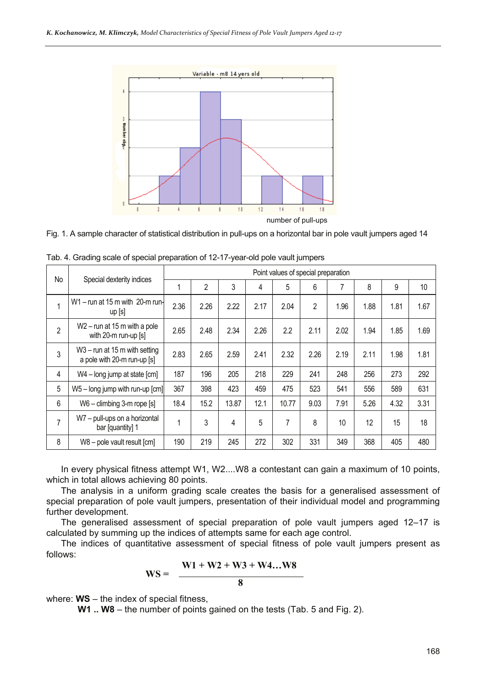



| No             | Special dexterity indices                                      | Point values of special preparation |                |       |      |       |                |      |      |      |      |
|----------------|----------------------------------------------------------------|-------------------------------------|----------------|-------|------|-------|----------------|------|------|------|------|
|                |                                                                |                                     | $\overline{2}$ | 3     | 4    | 5     | 6              |      | 8    | 9    | 10   |
| $\mathbf{1}$   | W1-run at 15 m with 20-m run-<br>up[s]                         | 2.36                                | 2.26           | 2.22  | 2.17 | 2.04  | $\overline{2}$ | 1.96 | 1.88 | 1.81 | 1.67 |
| $\overline{2}$ | $W2$ – run at 15 m with a pole<br>with 20-m run-up [s]         | 2.65                                | 2.48           | 2.34  | 2.26 | 2.2   | 2.11           | 2.02 | 1.94 | 1.85 | 1.69 |
| $\mathfrak{Z}$ | $W3 - run$ at 15 m with setting<br>a pole with 20-m run-up [s] | 2.83                                | 2.65           | 2.59  | 2.41 | 2.32  | 2.26           | 2.19 | 2.11 | 1.98 | 1.81 |
| 4              | W4 - long jump at state [cm]                                   | 187                                 | 196            | 205   | 218  | 229   | 241            | 248  | 256  | 273  | 292  |
| 5              | $W5 - long$ jump with run-up $\lfloor cm \rfloor$              | 367                                 | 398            | 423   | 459  | 475   | 523            | 541  | 556  | 589  | 631  |
| 6              | W6 - climbing 3-m rope [s]                                     | 18.4                                | 15.2           | 13.87 | 12.1 | 10.77 | 9.03           | 7.91 | 5.26 | 4.32 | 3.31 |
| $\overline{7}$ | W7 - pull-ups on a horizontal<br>bar [quantity] 1              | 1                                   | 3              | 4     | 5    | 7     | 8              | 10   | 12   | 15   | 18   |
| 8              | W8 - pole vault result [cm]                                    | 190                                 | 219            | 245   | 272  | 302   | 331            | 349  | 368  | 405  | 480  |

Tab. 4. Grading scale of special preparation of 12-17-year-old pole vault jumpers

In every physical fitness attempt W1, W2....W8 a contestant can gain a maximum of 10 points, which in total allows achieving 80 points.

The analysis in a uniform grading scale creates the basis for a generalised assessment of special preparation of pole vault jumpers, presentation of their individual model and programming further development.

The generalised assessment of special preparation of pole vault jumpers aged 12–17 is calculated by summing up the indices of attempts same for each age control.

The indices of quantitative assessment of special fitness of pole vault jumpers present as follows:

$$
WS = \frac{W1 + W2 + W3 + W4...W8}{8}
$$

where: **WS** – the index of special fitness,

**W1 .. W8** – the number of points gained on the tests (Tab. 5 and Fig. 2).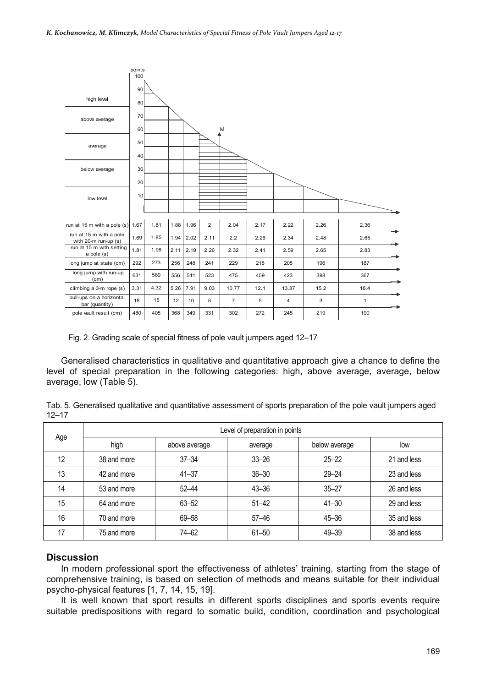

Fig. 2. Grading scale of special fitness of pole vault jumpers aged 12–17

Generalised characteristics in qualitative and quantitative approach give a chance to define the level of special preparation in the following categories: high, above average, average, below average, low (Table 5).

| Tab. 5. Generalised qualitative and quantitative assessment of sports preparation of the pole vault jumpers aged |  |  |  |
|------------------------------------------------------------------------------------------------------------------|--|--|--|
| $12 - 17$                                                                                                        |  |  |  |

| Age | Level of preparation in points |               |           |               |             |  |  |  |  |
|-----|--------------------------------|---------------|-----------|---------------|-------------|--|--|--|--|
|     | high                           | above average | average   | below average | low         |  |  |  |  |
| 12  | 38 and more                    | $37 - 34$     | $33 - 26$ | $25 - 22$     | 21 and less |  |  |  |  |
| 13  | 42 and more                    | $41 - 37$     | $36 - 30$ | $29 - 24$     | 23 and less |  |  |  |  |
| 14  | 53 and more                    | $52 - 44$     | $43 - 36$ | $35 - 27$     | 26 and less |  |  |  |  |
| 15  | 64 and more                    | $63 - 52$     | $51 - 42$ | $41 - 30$     | 29 and less |  |  |  |  |
| 16  | 70 and more                    | 69-58         | $57 - 46$ | $45 - 36$     | 35 and less |  |  |  |  |
| 17  | 75 and more                    | 74–62         | $61 - 50$ | $49 - 39$     | 38 and less |  |  |  |  |

#### **Discussion**

In modern professional sport the effectiveness of athletes' training, starting from the stage of comprehensive training, is based on selection of methods and means suitable for their individual psycho-physical features [1, 7, 14, 15, 19].

It is well known that sport results in different sports disciplines and sports events require suitable predispositions with regard to somatic build, condition, coordination and psychological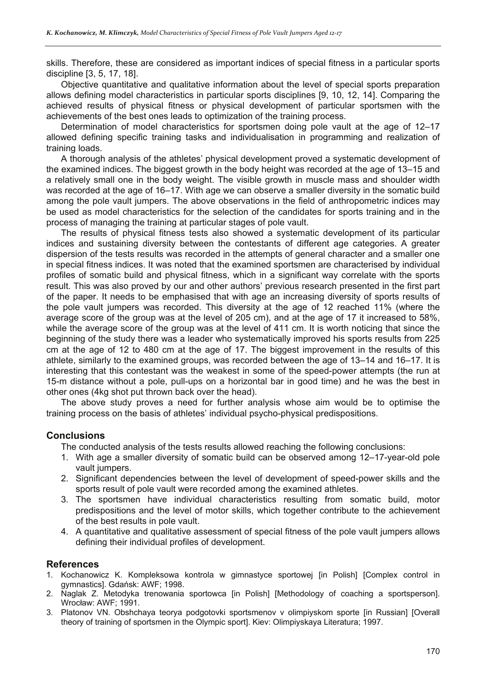skills. Therefore, these are considered as important indices of special fitness in a particular sports discipline [3, 5, 17, 18].

Objective quantitative and qualitative information about the level of special sports preparation allows defining model characteristics in particular sports disciplines [9, 10, 12, 14]. Comparing the achieved results of physical fitness or physical development of particular sportsmen with the achievements of the best ones leads to optimization of the training process.

Determination of model characteristics for sportsmen doing pole vault at the age of 12–17 allowed defining specific training tasks and individualisation in programming and realization of training loads.

A thorough analysis of the athletes' physical development proved a systematic development of the examined indices. The biggest growth in the body height was recorded at the age of 13–15 and a relatively small one in the body weight. The visible growth in muscle mass and shoulder width was recorded at the age of 16–17. With age we can observe a smaller diversity in the somatic build among the pole vault jumpers. The above observations in the field of anthropometric indices may be used as model characteristics for the selection of the candidates for sports training and in the process of managing the training at particular stages of pole vault.

The results of physical fitness tests also showed a systematic development of its particular indices and sustaining diversity between the contestants of different age categories. A greater dispersion of the tests results was recorded in the attempts of general character and a smaller one in special fitness indices. It was noted that the examined sportsmen are characterised by individual profiles of somatic build and physical fitness, which in a significant way correlate with the sports result. This was also proved by our and other authors' previous research presented in the first part of the paper. It needs to be emphasised that with age an increasing diversity of sports results of the pole vault jumpers was recorded. This diversity at the age of 12 reached 11% (where the average score of the group was at the level of 205 cm), and at the age of 17 it increased to 58%, while the average score of the group was at the level of 411 cm. It is worth noticing that since the beginning of the study there was a leader who systematically improved his sports results from 225 cm at the age of 12 to 480 cm at the age of 17. The biggest improvement in the results of this athlete, similarly to the examined groups, was recorded between the age of 13–14 and 16–17. It is interesting that this contestant was the weakest in some of the speed-power attempts (the run at 15-m distance without a pole, pull-ups on a horizontal bar in good time) and he was the best in other ones (4kg shot put thrown back over the head).

The above study proves a need for further analysis whose aim would be to optimise the training process on the basis of athletes' individual psycho-physical predispositions.

#### **Conclusions**

The conducted analysis of the tests results allowed reaching the following conclusions:

- 1. With age a smaller diversity of somatic build can be observed among 12–17-year-old pole vault jumpers.
- 2. Significant dependencies between the level of development of speed-power skills and the sports result of pole vault were recorded among the examined athletes.
- 3. The sportsmen have individual characteristics resulting from somatic build, motor predispositions and the level of motor skills, which together contribute to the achievement of the best results in pole vault.
- 4. A quantitative and qualitative assessment of special fitness of the pole vault jumpers allows defining their individual profiles of development.

### **References**

- 1. Kochanowicz K. Kompleksowa kontrola w gimnastyce sportowej [in Polish] [Complex control in gymnastics]. Gdańsk: AWF; 1998.
- 2. Naglak Z. Metodyka trenowania sportowca [in Polish] [Methodology of coaching a sportsperson]. Wrocław: AWF; 1991.
- 3. Platonov VN. Obshchaya teorya podgotovki sportsmenov v olimpiyskom sporte [in Russian] [Overall theory of training of sportsmen in the Olympic sport]. Kiev: Olimpiyskaya Literatura; 1997.